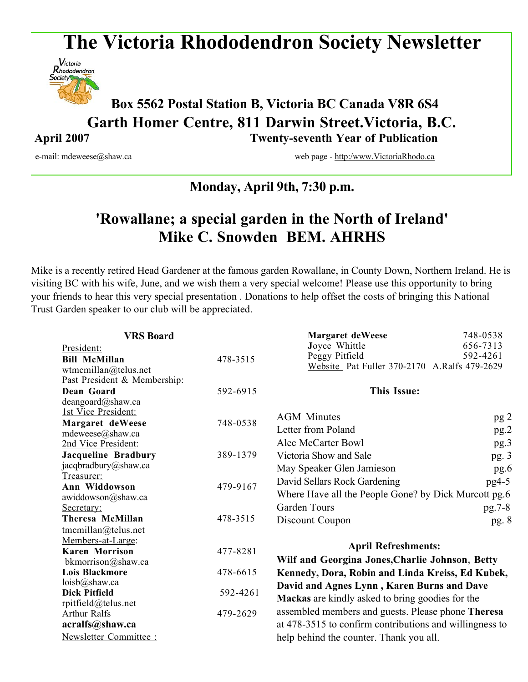# **The Victoria Rhododendron Society Newsletter**



# **Box <sup>5562</sup> Postal Station B, Victoria BC Canada V8R 6S4 Garth Homer Centre, 811 Darwin Street.Victoria, B.C. April 2007 Twenty-seventh Year of Publication**

e-mail: mdeweese@shaw.ca web page - http:/www.VictoriaRhodo.ca

# **Monday, April 9th, 7:30 p.m.**

# **'Rowallane; a special garden in the North of Ireland' Mike C. Snowden BEM. AHRHS**

Mike is a recently retired Head Gardener at the famous garden Rowallane, in County Down, Northern Ireland. He is visiting BC with his wife, June, and we wish them a very special welcome! Please use this opportunity to bring your friends to hear this very special presentation . Donations to help offset the costs of bringing this National Trust Garden speaker to our club will be appreciated.

| <b>VRS Board</b>             |          | Margaret deWeese                                                              | 748-0538 |
|------------------------------|----------|-------------------------------------------------------------------------------|----------|
| President:                   |          | Joyce Whittle                                                                 | 656-7313 |
| <b>Bill McMillan</b>         | 478-3515 | Peggy Pitfield                                                                | 592-4261 |
| wtmcmillan@telus.net         |          | Website Pat Fuller 370-2170 A.Ralfs 479-2629                                  |          |
| Past President & Membership: |          |                                                                               |          |
| Dean Goard                   | 592-6915 | <b>This Issue:</b>                                                            |          |
| deangoard@shaw.ca            |          |                                                                               |          |
| 1st Vice President:          |          | <b>AGM</b> Minutes                                                            | pg 2     |
| Margaret deWeese             | 748-0538 |                                                                               |          |
| mdeweese@shaw.ca             |          | Letter from Poland                                                            | pg.2     |
| 2nd Vice President:          |          | Alec McCarter Bowl                                                            | pg.3     |
| <b>Jacqueline Bradbury</b>   | 389-1379 | Victoria Show and Sale                                                        | pg.3     |
| jacqbradbury@shaw.ca         |          | May Speaker Glen Jamieson                                                     | pg.6     |
| Treasurer:                   | 479-9167 | David Sellars Rock Gardening                                                  | pg4-5    |
| Ann Widdowson                |          | Where Have all the People Gone? by Dick Murcott pg.6                          |          |
| awiddowson@shaw.ca           |          |                                                                               |          |
| Secretary:                   |          | <b>Garden Tours</b>                                                           | pg.7-8   |
| Theresa McMillan             | 478-3515 | Discount Coupon                                                               | pg. 8    |
| tmcmillan@telus.net          |          |                                                                               |          |
| Members-at-Large:            |          | <b>April Refreshments:</b><br>Wilf and Georgina Jones, Charlie Johnson, Betty |          |
| <b>Karen Morrison</b>        | 477-8281 |                                                                               |          |
| bkmorrison@shaw.ca           |          |                                                                               |          |
| <b>Lois Blackmore</b>        | 478-6615 | Kennedy, Dora, Robin and Linda Kreiss, Ed Kubek,                              |          |
| loisb@shaw.ca                |          | David and Agnes Lynn, Karen Burns and Dave                                    |          |
| <b>Dick Pitfield</b>         | 592-4261 | <b>Mackas</b> are kindly asked to bring goodies for the                       |          |
| rpitfield@telus.net          |          |                                                                               |          |
| <b>Arthur Ralfs</b>          | 479-2629 | assembled members and guests. Please phone Theresa                            |          |
| acralfs@shaw.ca              |          | at 478-3515 to confirm contributions and willingness to                       |          |
| Newsletter Committee:        |          | help behind the counter. Thank you all.                                       |          |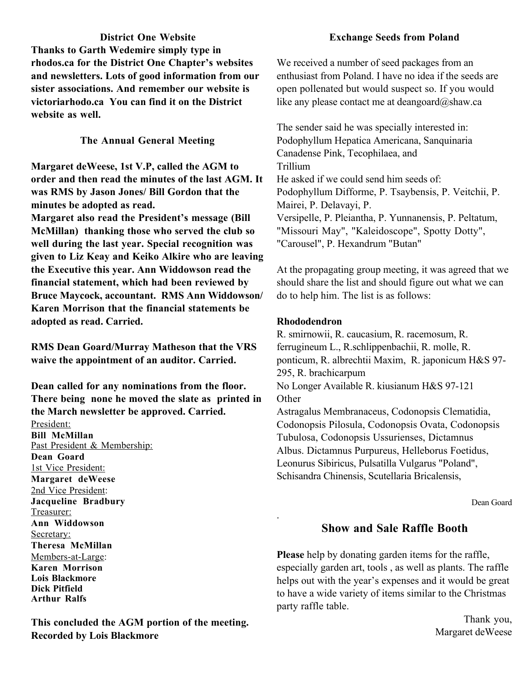**District One Website Thanks to Garth Wedemire simply type in rhodos.ca for the District One Chapter's websites and newsletters. Lots of good information from our sister associations. And remember our website is victoriarhodo.ca You can find it on the District website as well.**

#### **The Annual General Meeting**

**Margaret deWeese, 1st V.P, called the AGM to order and then read the minutes of the last AGM. It was RMS by Jason Jones/ Bill Gordon that the minutes be adopted as read. Margaret also read the President's message (Bill McMillan) thanking those who served the club so well during the last year. Special recognition was given to Liz Keay and Keiko Alkire who are leaving the Executive this year. Ann Widdowson read the financial statement, which had been reviewed by Bruce Maycock, accountant. RMS Ann Widdowson/ Karen Morrison that the financial statements be adopted as read. Carried.**

**RMS Dean Goard/Murray Matheson that the VRS waive the appointment of an auditor. Carried.**

**Dean called for any nominations from the floor. There being none he moved the slate as printed in the March newsletter be approved. Carried.** President: **Bill McMillan** Past President & Membership: **Dean Goard** 1st Vice President: **Margaret deWeese** 2nd Vice President: **Jacqueline Bradbury** Treasurer: **Ann Widdowson** Secretary: **Theresa McMillan** Members-at-Large: **Karen Morrison Lois Blackmore Dick Pitfield Arthur Ralfs**

**This concluded the AGM portion of the meeting. Recorded by Lois Blackmore**

#### **Exchange Seeds from Poland**

We received a number of seed packages from an enthusiast from Poland. I have no idea if the seeds are open pollenated but would suspect so. If you would like any please contact me at deangoard $@$ shaw.ca

The sender said he was specially interested in: Podophyllum Hepatica Americana, Sanquinaria Canadense Pink, Tecophilaea, and Trillium He asked if we could send him seeds of: Podophyllum Difforme, P. Tsaybensis, P. Veitchii, P. Mairei, P. Delavayi, P. Versipelle, P. Pleiantha, P. Yunnanensis, P. Peltatum, "Missouri May", "Kaleidoscope", Spotty Dotty", "Carousel", P. Hexandrum "Butan"

At the propagating group meeting, it was agreed that we should share the list and should figure out what we can do to help him. The list is as follows:

#### **Rhododendron**

.

R. smirnowii, R. caucasium, R. racemosum, R. ferrugineum L., R.schlippenbachii, R. molle, R. ponticum, R. albrechtii Maxim, R. japonicum H&S 97- 295, R. brachicarpum No Longer Available R. kiusianum H&S 97-121 **Other** Astragalus Membranaceus, Codonopsis Clematidia, Codonopsis Pilosula, Codonopsis Ovata, Codonopsis Tubulosa, Codonopsis Ussurienses, Dictamnus Albus. Dictamnus Purpureus, Helleborus Foetidus, Leonurus Sibiricus, Pulsatilla Vulgarus "Poland", Schisandra Chinensis, Scutellaria Bricalensis,

Dean Goard

# **Show and Sale Raffle Booth**

**Please** help by donating garden items for the raffle, especially garden art, tools , as well as plants. The raffle helps out with the year's expenses and it would be great to have a wide variety of items similar to the Christmas party raffle table.

> Thank you, Margaret deWeese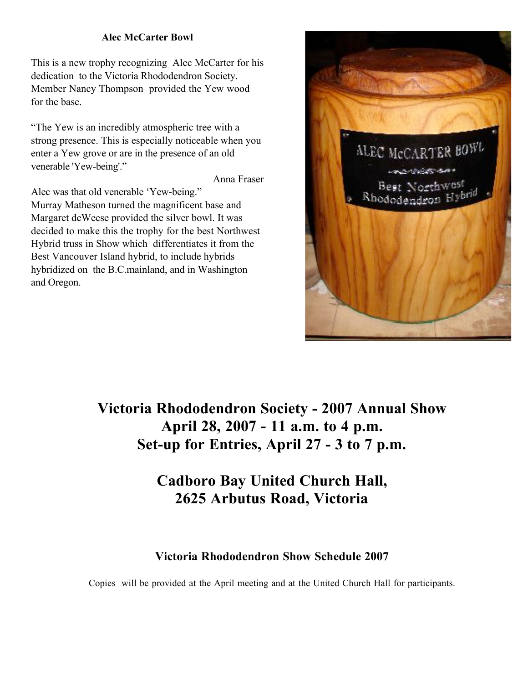#### **Alec McCarter Bowl**

This is a new trophy recognizing Alec McCarter for his dedication to the Victoria Rhododendron Society. Member Nancy Thompson provided the Yew wood for the base.

"The Yew is an incredibly atmospheric tree with a strong presence. This is especially noticeable when you enter a Yew grove or are in the presence of an old venerable 'Yew-being'."

Anna Fraser

Alec was that old venerable 'Yew-being."

Murray Matheson turned the magnificent base and Margaret deWeese provided the silver bowl. It was decided to make this the trophy for the best Northwest Hybrid truss in Show which differentiates it from the Best Vancouver Island hybrid, to include hybrids hybridized on the B.C.mainland, and in Washington and Oregon.



**Victoria Rhododendron Society - 2007 Annual Show April 28, 2007 - 11 a.m. to 4 p.m. Set-up for Entries, April 27 - 3 to 7 p.m.**

# **Cadboro Bay United Church Hall, 2625 Arbutus Road, Victoria**

# **Victoria Rhododendron Show Schedule 2007**

Copies will be provided at the April meeting and at the United Church Hall for participants.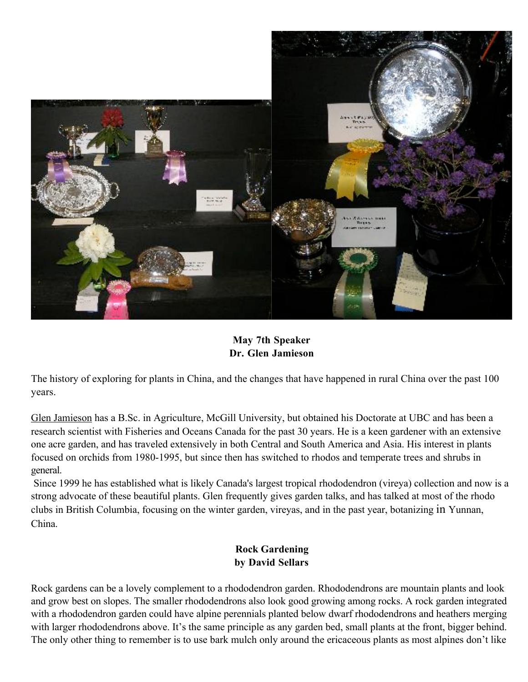

#### **May 7th Speaker Dr. Glen Jamieson**

The history of exploring for plants in China, and the changes that have happened in rural China over the past 100 years.

Glen Jamieson has a B.Sc. in Agriculture, McGill University, but obtained his Doctorate at UBC and has been a research scientist with Fisheries and Oceans Canada for the past 30 years. He is a keen gardener with an extensive one acre garden, and has traveled extensively in both Central and South America and Asia. His interest in plants focused on orchids from 1980-1995, but since then has switched to rhodos and temperate trees and shrubs in general.

Since 1999 he has established what is likely Canada's largest tropical rhododendron (vireya) collection and now is a strong advocate of these beautiful plants. Glen frequently gives garden talks, and has talked at most of the rhodo clubs in British Columbia, focusing on the winter garden, vireyas, and in the past year, botanizing in Yunnan, China.

#### **Rock Gardening by David Sellars**

Rock gardens can be a lovely complement to a rhododendron garden. Rhododendrons are mountain plants and look and grow best on slopes. The smaller rhododendrons also look good growing among rocks. A rock garden integrated with a rhododendron garden could have alpine perennials planted below dwarf rhododendrons and heathers merging with larger rhododendrons above. It's the same principle as any garden bed, small plants at the front, bigger behind. The only other thing to remember is to use bark mulch only around the ericaceous plants as most alpines don't like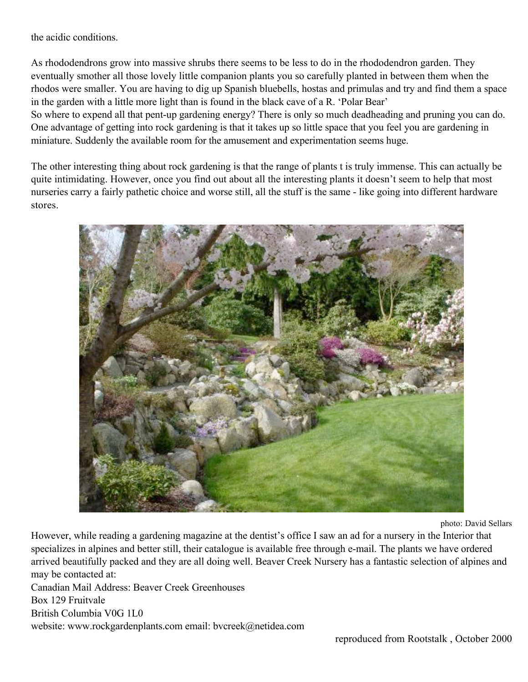the acidic conditions.

As rhododendrons grow into massive shrubs there seems to be less to do in the rhododendron garden. They eventually smother all those lovely little companion plants you so carefully planted in between them when the rhodos were smaller. You are having to dig up Spanish bluebells, hostas and primulas and try and find them a space in the garden with a little more light than is found in the black cave of a R. 'Polar Bear'

So where to expend all that pent-up gardening energy? There is only so much deadheading and pruning you can do. One advantage of getting into rock gardening is that it takes up so little space that you feel you are gardening in miniature. Suddenly the available room for the amusement and experimentation seems huge.

The other interesting thing about rock gardening is that the range of plants t is truly immense. This can actually be quite intimidating. However, once you find out about all the interesting plants it doesn't seem to help that most nurseries carry a fairly pathetic choice and worse still, all the stuff is the same - like going into different hardware stores.



photo: David Sellars

However, while reading a gardening magazine at the dentist's office I saw an ad for a nursery in the Interior that specializes in alpines and better still, their catalogue is available free through e-mail. The plants we have ordered arrived beautifully packed and they are all doing well. Beaver Creek Nursery has a fantastic selection of alpines and may be contacted at:

Canadian Mail Address: Beaver Creek Greenhouses Box 129 Fruitvale British Columbia V0G 1L0 website: www.rockgardenplants.com email: bvcreek@netidea.com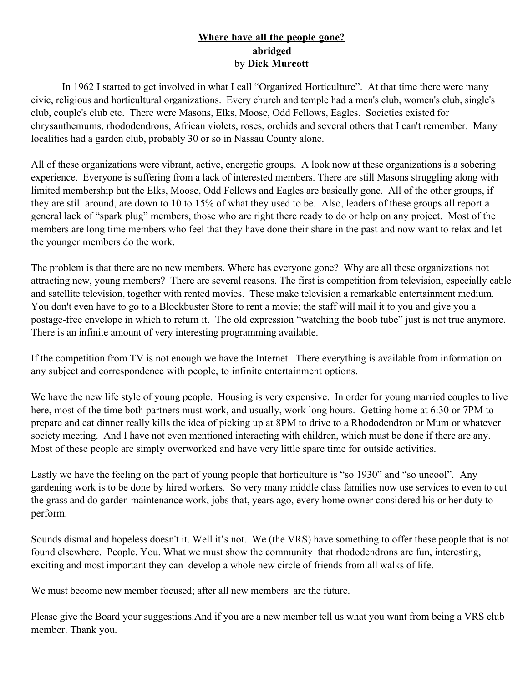#### **Where have all the people gone? abridged** by **Dick Murcott**

In 1962 I started to get involved in what I call "Organized Horticulture". At that time there were many civic, religious and horticultural organizations. Every church and temple had a men's club, women's club, single's club, couple's club etc. There were Masons, Elks, Moose, Odd Fellows, Eagles. Societies existed for chrysanthemums, rhododendrons, African violets, roses, orchids and several others that I can't remember. Many localities had a garden club, probably 30 or so in Nassau County alone.

All of these organizations were vibrant, active, energetic groups. A look now at these organizations is a sobering experience. Everyone is suffering from a lack of interested members. There are still Masons struggling along with limited membership but the Elks, Moose, Odd Fellows and Eagles are basically gone. All of the other groups, if they are still around, are down to 10 to 15% of what they used to be. Also, leaders of these groups all report a general lack of "spark plug" members, those who are right there ready to do or help on any project. Most of the members are long time members who feel that they have done their share in the past and now want to relax and let the younger members do the work.

The problem is that there are no new members. Where has everyone gone? Why are all these organizations not attracting new, young members? There are several reasons. The first is competition from television, especially cable and satellite television, together with rented movies. These make television a remarkable entertainment medium. You don't even have to go to a Blockbuster Store to rent a movie; the staff will mail it to you and give you a postage-free envelope in which to return it. The old expression "watching the boob tube" just is not true anymore. There is an infinite amount of very interesting programming available.

If the competition from TV is not enough we have the Internet. There everything is available from information on any subject and correspondence with people, to infinite entertainment options.

We have the new life style of young people. Housing is very expensive. In order for young married couples to live here, most of the time both partners must work, and usually, work long hours. Getting home at 6:30 or 7PM to prepare and eat dinner really kills the idea of picking up at 8PM to drive to a Rhododendron or Mum or whatever society meeting. And I have not even mentioned interacting with children, which must be done if there are any. Most of these people are simply overworked and have very little spare time for outside activities.

Lastly we have the feeling on the part of young people that horticulture is "so 1930" and "so uncool". Any gardening work is to be done by hired workers. So very many middle class families now use services to even to cut the grass and do garden maintenance work, jobs that, years ago, every home owner considered his or her duty to perform.

Sounds dismal and hopeless doesn't it. Well it's not. We (the VRS) have something to offer these people that is not found elsewhere. People. You. What we must show the community that rhododendrons are fun, interesting, exciting and most important they can develop a whole new circle of friends from all walks of life.

We must become new member focused; after all new members are the future.

Please give the Board your suggestions.And if you are a new member tell us what you want from being a VRS club member. Thank you.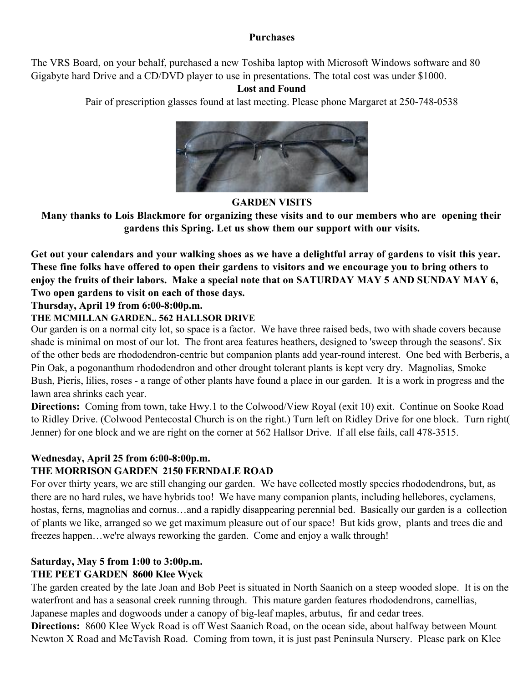#### **Purchases**

The VRS Board, on your behalf, purchased a new Toshiba laptop with Microsoft Windows software and 80 Gigabyte hard Drive and a CD/DVD player to use in presentations. The total cost was under \$1000.

# **Lost and Found**

Pair of prescription glasses found at last meeting. Please phone Margaret at 250-748-0538



#### **GARDEN VISITS**

**Many thanks to Lois Blackmore for organizing these visits and to our members who are opening their gardens this Spring. Let us show them our support with our visits.**

Get out your calendars and your walking shoes as we have a delightful array of gardens to visit this year. These fine folks have offered to open their gardens to visitors and we encourage you to bring others to enjoy the fruits of their labors. Make a special note that on SATURDAY MAY 5 AND SUNDAY MAY 6, **Two open gardens to visit on each of those days.**

#### **Thursday, April 19 from 6:00-8:00p.m.**

#### **THE MCMILLAN GARDEN.. 562 HALLSOR DRIVE**

Our garden is on a normal city lot, so space is a factor. We have three raised beds, two with shade covers because shade is minimal on most of our lot. The front area features heathers, designed to 'sweep through the seasons'. Six of the other beds are rhododendron-centric but companion plants add year-round interest. One bed with Berberis, a Pin Oak, a pogonanthum rhododendron and other drought tolerant plants is kept very dry. Magnolias, Smoke Bush, Pieris, lilies, roses - a range of other plants have found a place in our garden. It is a work in progress and the lawn area shrinks each year.

**Directions:** Coming from town, take Hwy.1 to the Colwood/View Royal (exit 10) exit. Continue on Sooke Road to Ridley Drive. (Colwood Pentecostal Church is on the right.) Turn left on Ridley Drive for one block. Turn right( Jenner) for one block and we are right on the corner at 562 Hallsor Drive. If all else fails, call 478-3515.

#### **Wednesday, April 25 from 6:00-8:00p.m.**

# **THE MORRISON GARDEN 2150 FERNDALE ROAD**

For over thirty years, we are still changing our garden. We have collected mostly species rhododendrons, but, as there are no hard rules, we have hybrids too! We have many companion plants, including hellebores, cyclamens, hostas, ferns, magnolias and cornus...and a rapidly disappearing perennial bed. Basically our garden is a collection of plants we like, arranged so we get maximum pleasure out of our space! But kids grow, plants and trees die and freezes happen...we're always reworking the garden. Come and enjoy a walk through!

# **Saturday, May 5 from 1:00 to 3:00p.m.**

#### **THE PEET GARDEN 8600 Klee Wyck**

The garden created by the late Joan and Bob Peet is situated in North Saanich on a steep wooded slope. It is on the waterfront and has a seasonal creek running through. This mature garden features rhododendrons, camellias, Japanese maples and dogwoods under a canopy of big-leaf maples, arbutus, fir and cedar trees.

**Directions:** 8600 Klee Wyck Road is off West Saanich Road, on the ocean side, about halfway between Mount Newton X Road and McTavish Road. Coming from town, it is just past Peninsula Nursery. Please park on Klee